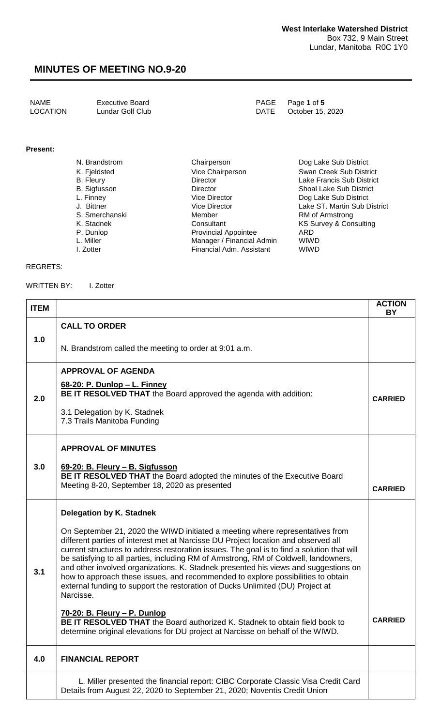NAME Executive Board<br>
LOCATION Lundar Golf Club<br>
LOCATION Lundar Golf Club Lundar Golf Club

#### **Present:**

| N. Brandstrom    | Chairperson                 | Dog Lake Sub District             |
|------------------|-----------------------------|-----------------------------------|
| K. Fjeldsted     | Vice Chairperson            | Swan Creek Sub District           |
| <b>B.</b> Fleury | Director                    | Lake Francis Sub District         |
| B. Sigfusson     | <b>Director</b>             | <b>Shoal Lake Sub District</b>    |
| L. Finney        | <b>Vice Director</b>        | Dog Lake Sub District             |
| J. Bittner       | <b>Vice Director</b>        | Lake ST. Martin Sub District      |
| S. Smerchanski   | Member                      | RM of Armstrong                   |
| K. Stadnek       | Consultant                  | <b>KS Survey &amp; Consulting</b> |
| P. Dunlop        | <b>Provincial Appointee</b> | ARD                               |
| L. Miller        | Manager / Financial Admin   | <b>WIWD</b>                       |
| I. Zotter        | Financial Adm. Assistant    | <b>WIWD</b>                       |

#### REGRETS:

WRITTEN BY: I. Zotter

| <b>ITEM</b> |                                                                                                                                                                                                                                                                                                                                                                                                                                                                                                                                                                                                                                     | <b>ACTION</b><br><b>BY</b> |
|-------------|-------------------------------------------------------------------------------------------------------------------------------------------------------------------------------------------------------------------------------------------------------------------------------------------------------------------------------------------------------------------------------------------------------------------------------------------------------------------------------------------------------------------------------------------------------------------------------------------------------------------------------------|----------------------------|
| 1.0         | <b>CALL TO ORDER</b>                                                                                                                                                                                                                                                                                                                                                                                                                                                                                                                                                                                                                |                            |
|             | N. Brandstrom called the meeting to order at 9:01 a.m.                                                                                                                                                                                                                                                                                                                                                                                                                                                                                                                                                                              |                            |
|             | <b>APPROVAL OF AGENDA</b><br>68-20: P. Dunlop - L. Finney                                                                                                                                                                                                                                                                                                                                                                                                                                                                                                                                                                           |                            |
| 2.0         | BE IT RESOLVED THAT the Board approved the agenda with addition:                                                                                                                                                                                                                                                                                                                                                                                                                                                                                                                                                                    | <b>CARRIED</b>             |
|             | 3.1 Delegation by K. Stadnek<br>7.3 Trails Manitoba Funding                                                                                                                                                                                                                                                                                                                                                                                                                                                                                                                                                                         |                            |
|             | <b>APPROVAL OF MINUTES</b>                                                                                                                                                                                                                                                                                                                                                                                                                                                                                                                                                                                                          |                            |
| 3.0         | 69-20: B. Fleury - B. Sigfusson<br>BE IT RESOLVED THAT the Board adopted the minutes of the Executive Board<br>Meeting 8-20, September 18, 2020 as presented                                                                                                                                                                                                                                                                                                                                                                                                                                                                        | <b>CARRIED</b>             |
|             | <b>Delegation by K. Stadnek</b>                                                                                                                                                                                                                                                                                                                                                                                                                                                                                                                                                                                                     |                            |
| 3.1         | On September 21, 2020 the WIWD initiated a meeting where representatives from<br>different parties of interest met at Narcisse DU Project location and observed all<br>current structures to address restoration issues. The goal is to find a solution that will<br>be satisfying to all parties, including RM of Armstrong, RM of Coldwell, landowners,<br>and other involved organizations. K. Stadnek presented his views and suggestions on<br>how to approach these issues, and recommended to explore possibilities to obtain<br>external funding to support the restoration of Ducks Unlimited (DU) Project at<br>Narcisse. |                            |
|             | <u>70-20: B. Fleury – P. Dunlop</u><br><b>BE IT RESOLVED THAT</b> the Board authorized K. Stadnek to obtain field book to<br>determine original elevations for DU project at Narcisse on behalf of the WIWD.                                                                                                                                                                                                                                                                                                                                                                                                                        | <b>CARRIED</b>             |
| 4.0         | <b>FINANCIAL REPORT</b>                                                                                                                                                                                                                                                                                                                                                                                                                                                                                                                                                                                                             |                            |
|             | L. Miller presented the financial report: CIBC Corporate Classic Visa Credit Card<br>Details from August 22, 2020 to September 21, 2020; Noventis Credit Union                                                                                                                                                                                                                                                                                                                                                                                                                                                                      |                            |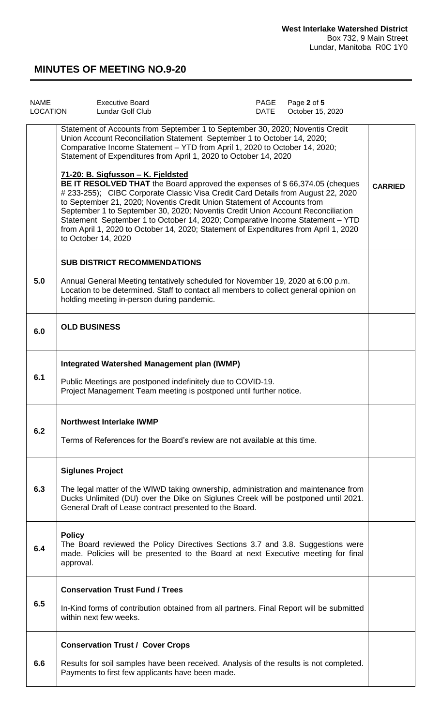| <b>NAME</b><br><b>LOCATION</b> | <b>Executive Board</b><br><b>Lundar Golf Club</b>                                                                                                                                                                                                                                                                                                                                                                                                                                                                                                                                                                                                                                                                                                                                                                                                                                 | PAGE<br>DATE | Page 2 of 5<br>October 15, 2020 |                |
|--------------------------------|-----------------------------------------------------------------------------------------------------------------------------------------------------------------------------------------------------------------------------------------------------------------------------------------------------------------------------------------------------------------------------------------------------------------------------------------------------------------------------------------------------------------------------------------------------------------------------------------------------------------------------------------------------------------------------------------------------------------------------------------------------------------------------------------------------------------------------------------------------------------------------------|--------------|---------------------------------|----------------|
|                                | Statement of Accounts from September 1 to September 30, 2020; Noventis Credit<br>Union Account Reconciliation Statement September 1 to October 14, 2020;<br>Comparative Income Statement - YTD from April 1, 2020 to October 14, 2020;<br>Statement of Expenditures from April 1, 2020 to October 14, 2020<br>71-20: B. Sigfusson - K. Fjeldsted<br>BE IT RESOLVED THAT the Board approved the expenses of \$66,374.05 (cheques<br># 233-255); CIBC Corporate Classic Visa Credit Card Details from August 22, 2020<br>to September 21, 2020; Noventis Credit Union Statement of Accounts from<br>September 1 to September 30, 2020; Noventis Credit Union Account Reconciliation<br>Statement September 1 to October 14, 2020; Comparative Income Statement - YTD<br>from April 1, 2020 to October 14, 2020; Statement of Expenditures from April 1, 2020<br>to October 14, 2020 |              |                                 | <b>CARRIED</b> |
| 5.0                            | <b>SUB DISTRICT RECOMMENDATIONS</b><br>Annual General Meeting tentatively scheduled for November 19, 2020 at 6:00 p.m.<br>Location to be determined. Staff to contact all members to collect general opinion on<br>holding meeting in-person during pandemic.                                                                                                                                                                                                                                                                                                                                                                                                                                                                                                                                                                                                                     |              |                                 |                |
| 6.0                            | <b>OLD BUSINESS</b>                                                                                                                                                                                                                                                                                                                                                                                                                                                                                                                                                                                                                                                                                                                                                                                                                                                               |              |                                 |                |
| 6.1                            | <b>Integrated Watershed Management plan (IWMP)</b><br>Public Meetings are postponed indefinitely due to COVID-19.<br>Project Management Team meeting is postponed until further notice.                                                                                                                                                                                                                                                                                                                                                                                                                                                                                                                                                                                                                                                                                           |              |                                 |                |
| 6.2                            | <b>Northwest Interlake IWMP</b><br>Terms of References for the Board's review are not available at this time.                                                                                                                                                                                                                                                                                                                                                                                                                                                                                                                                                                                                                                                                                                                                                                     |              |                                 |                |
| 6.3                            | <b>Siglunes Project</b><br>The legal matter of the WIWD taking ownership, administration and maintenance from<br>Ducks Unlimited (DU) over the Dike on Siglunes Creek will be postponed until 2021.<br>General Draft of Lease contract presented to the Board.                                                                                                                                                                                                                                                                                                                                                                                                                                                                                                                                                                                                                    |              |                                 |                |
| 6.4                            | <b>Policy</b><br>The Board reviewed the Policy Directives Sections 3.7 and 3.8. Suggestions were<br>made. Policies will be presented to the Board at next Executive meeting for final<br>approval.                                                                                                                                                                                                                                                                                                                                                                                                                                                                                                                                                                                                                                                                                |              |                                 |                |
| 6.5                            | <b>Conservation Trust Fund / Trees</b><br>In-Kind forms of contribution obtained from all partners. Final Report will be submitted<br>within next few weeks.                                                                                                                                                                                                                                                                                                                                                                                                                                                                                                                                                                                                                                                                                                                      |              |                                 |                |
| 6.6                            | <b>Conservation Trust / Cover Crops</b><br>Results for soil samples have been received. Analysis of the results is not completed.<br>Payments to first few applicants have been made.                                                                                                                                                                                                                                                                                                                                                                                                                                                                                                                                                                                                                                                                                             |              |                                 |                |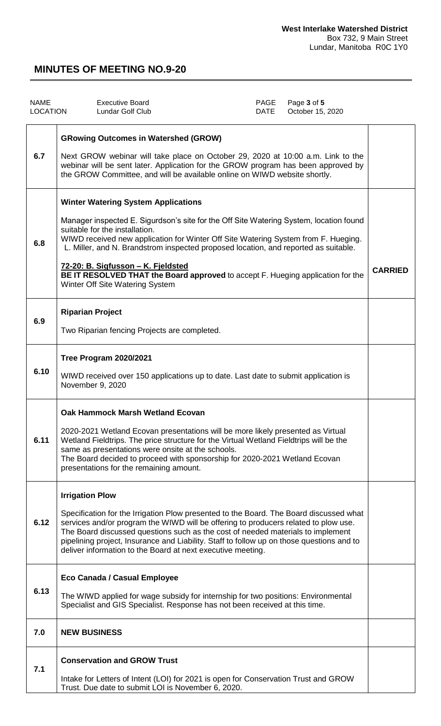| <b>NAME</b><br><b>LOCATION</b> | <b>Executive Board</b><br><b>Lundar Golf Club</b>                                                                                                                                                                                                                                                                                                                                                                                                                                                               | PAGE<br>DATE | Page 3 of 5<br>October 15, 2020 |                |
|--------------------------------|-----------------------------------------------------------------------------------------------------------------------------------------------------------------------------------------------------------------------------------------------------------------------------------------------------------------------------------------------------------------------------------------------------------------------------------------------------------------------------------------------------------------|--------------|---------------------------------|----------------|
| 6.7                            | <b>GRowing Outcomes in Watershed (GROW)</b><br>Next GROW webinar will take place on October 29, 2020 at 10:00 a.m. Link to the<br>webinar will be sent later. Application for the GROW program has been approved by<br>the GROW Committee, and will be available online on WIWD website shortly.                                                                                                                                                                                                                |              |                                 |                |
| 6.8                            | <b>Winter Watering System Applications</b><br>Manager inspected E. Sigurdson's site for the Off Site Watering System, location found<br>suitable for the installation.<br>WIWD received new application for Winter Off Site Watering System from F. Hueging.<br>L. Miller, and N. Brandstrom inspected proposed location, and reported as suitable.<br>72-20: B. Sigfusson - K. Fjeldsted<br>BE IT RESOLVED THAT the Board approved to accept F. Hueging application for the<br>Winter Off Site Watering System |              |                                 | <b>CARRIED</b> |
| 6.9                            | <b>Riparian Project</b><br>Two Riparian fencing Projects are completed.                                                                                                                                                                                                                                                                                                                                                                                                                                         |              |                                 |                |
| 6.10                           | <b>Tree Program 2020/2021</b><br>WIWD received over 150 applications up to date. Last date to submit application is<br>November 9, 2020                                                                                                                                                                                                                                                                                                                                                                         |              |                                 |                |
| 6.11                           | <b>Oak Hammock Marsh Wetland Ecovan</b><br>2020-2021 Wetland Ecovan presentations will be more likely presented as Virtual<br>Wetland Fieldtrips. The price structure for the Virtual Wetland Fieldtrips will be the<br>same as presentations were onsite at the schools.<br>The Board decided to proceed with sponsorship for 2020-2021 Wetland Ecovan<br>presentations for the remaining amount.                                                                                                              |              |                                 |                |
| 6.12                           | <b>Irrigation Plow</b><br>Specification for the Irrigation Plow presented to the Board. The Board discussed what<br>services and/or program the WIWD will be offering to producers related to plow use.<br>The Board discussed questions such as the cost of needed materials to implement<br>pipelining project, Insurance and Liability. Staff to follow up on those questions and to<br>deliver information to the Board at next executive meeting.                                                          |              |                                 |                |
| 6.13                           | Eco Canada / Casual Employee<br>The WIWD applied for wage subsidy for internship for two positions: Environmental<br>Specialist and GIS Specialist. Response has not been received at this time.                                                                                                                                                                                                                                                                                                                |              |                                 |                |
| 7.0                            | <b>NEW BUSINESS</b>                                                                                                                                                                                                                                                                                                                                                                                                                                                                                             |              |                                 |                |
| 7.1                            | <b>Conservation and GROW Trust</b><br>Intake for Letters of Intent (LOI) for 2021 is open for Conservation Trust and GROW<br>Trust. Due date to submit LOI is November 6, 2020.                                                                                                                                                                                                                                                                                                                                 |              |                                 |                |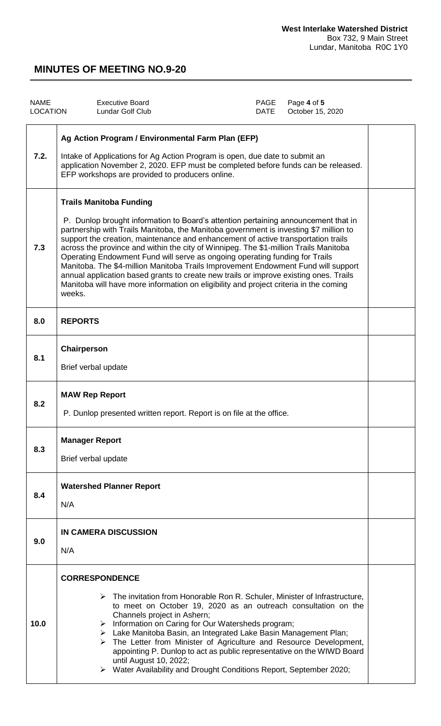| <b>NAME</b><br><b>LOCATION</b> | <b>Executive Board</b><br><b>Lundar Golf Club</b>                                                                                                                                                                                                                                                                                                                                                                                                                                                                                                                                                                                                                                                                                                          | <b>PAGE</b><br>DATE | Page 4 of 5<br>October 15, 2020 |  |
|--------------------------------|------------------------------------------------------------------------------------------------------------------------------------------------------------------------------------------------------------------------------------------------------------------------------------------------------------------------------------------------------------------------------------------------------------------------------------------------------------------------------------------------------------------------------------------------------------------------------------------------------------------------------------------------------------------------------------------------------------------------------------------------------------|---------------------|---------------------------------|--|
| 7.2.                           | Ag Action Program / Environmental Farm Plan (EFP)<br>Intake of Applications for Ag Action Program is open, due date to submit an<br>application November 2, 2020. EFP must be completed before funds can be released.<br>EFP workshops are provided to producers online.                                                                                                                                                                                                                                                                                                                                                                                                                                                                                   |                     |                                 |  |
| 7.3                            | <b>Trails Manitoba Funding</b><br>P. Dunlop brought information to Board's attention pertaining announcement that in<br>partnership with Trails Manitoba, the Manitoba government is investing \$7 million to<br>support the creation, maintenance and enhancement of active transportation trails<br>across the province and within the city of Winnipeg. The \$1-million Trails Manitoba<br>Operating Endowment Fund will serve as ongoing operating funding for Trails<br>Manitoba. The \$4-million Manitoba Trails Improvement Endowment Fund will support<br>annual application based grants to create new trails or improve existing ones. Trails<br>Manitoba will have more information on eligibility and project criteria in the coming<br>weeks. |                     |                                 |  |
| 8.0                            | <b>REPORTS</b>                                                                                                                                                                                                                                                                                                                                                                                                                                                                                                                                                                                                                                                                                                                                             |                     |                                 |  |
| 8.1                            | Chairperson<br>Brief verbal update                                                                                                                                                                                                                                                                                                                                                                                                                                                                                                                                                                                                                                                                                                                         |                     |                                 |  |
| 8.2                            | <b>MAW Rep Report</b><br>P. Dunlop presented written report. Report is on file at the office.                                                                                                                                                                                                                                                                                                                                                                                                                                                                                                                                                                                                                                                              |                     |                                 |  |
| 8.3                            | <b>Manager Report</b><br>Brief verbal update                                                                                                                                                                                                                                                                                                                                                                                                                                                                                                                                                                                                                                                                                                               |                     |                                 |  |
| 8.4                            | <b>Watershed Planner Report</b><br>N/A                                                                                                                                                                                                                                                                                                                                                                                                                                                                                                                                                                                                                                                                                                                     |                     |                                 |  |
| 9.0                            | <b>IN CAMERA DISCUSSION</b><br>N/A                                                                                                                                                                                                                                                                                                                                                                                                                                                                                                                                                                                                                                                                                                                         |                     |                                 |  |
| 10.0                           | <b>CORRESPONDENCE</b><br>$\triangleright$ The invitation from Honorable Ron R. Schuler, Minister of Infrastructure,<br>to meet on October 19, 2020 as an outreach consultation on the<br>Channels project in Ashern;<br>> Information on Caring for Our Watersheds program;<br>> Lake Manitoba Basin, an Integrated Lake Basin Management Plan;<br>$\triangleright$ The Letter from Minister of Agriculture and Resource Development,<br>appointing P. Dunlop to act as public representative on the WIWD Board<br>until August 10, 2022;<br>> Water Availability and Drought Conditions Report, September 2020;                                                                                                                                           |                     |                                 |  |